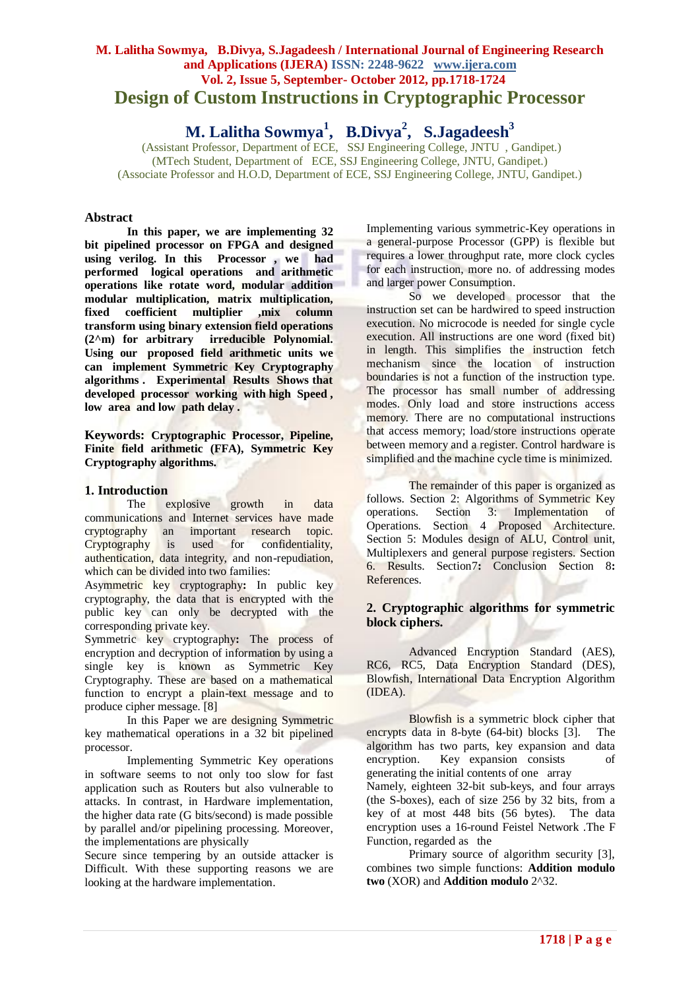# **M. Lalitha Sowmya, B.Divya, S.Jagadeesh / International Journal of Engineering Research and Applications (IJERA) ISSN: 2248-9622 www.ijera.com Vol. 2, Issue 5, September- October 2012, pp.1718-1724 Design of Custom Instructions in Cryptographic Processor**

**M. Lalitha Sowmya<sup>1</sup> , B.Divya<sup>2</sup> , S.Jagadeesh<sup>3</sup>**

(Assistant Professor, Department of ECE, SSJ Engineering College, JNTU , Gandipet.) (MTech Student, Department of ECE, SSJ Engineering College, JNTU, Gandipet.) (Associate Professor and H.O.D, Department of ECE, SSJ Engineering College, JNTU, Gandipet.)

### **Abstract**

**In this paper, we are implementing 32 bit pipelined processor on FPGA and designed using verilog. In this Processor , we had performed logical operations and arithmetic operations like rotate word, modular addition modular multiplication, matrix multiplication, fixed coefficient multiplier ,mix column transform using binary extension field operations (2^m) for arbitrary irreducible Polynomial. Using our proposed field arithmetic units we can implement Symmetric Key Cryptography algorithms . Experimental Results Shows that developed processor working with high Speed , low area and low path delay .**

**Keywords: Cryptographic Processor, Pipeline, Finite field arithmetic (FFA), Symmetric Key Cryptography algorithms.**

### **1. Introduction**

The explosive growth in data communications and Internet services have made cryptography an important research topic. Cryptography is used for confidentiality, authentication, data integrity, and non-repudiation, which can be divided into two families:

Asymmetric key cryptography**:** In public key cryptography, the data that is encrypted with the public key can only be decrypted with the corresponding private key.

Symmetric key cryptography**:** The process of encryption and decryption of information by using a single key is known as Symmetric Key Cryptography. These are based on a mathematical function to encrypt a plain-text message and to produce cipher message. [8]

In this Paper we are designing Symmetric key mathematical operations in a 32 bit pipelined processor.

Implementing Symmetric Key operations in software seems to not only too slow for fast application such as Routers but also vulnerable to attacks. In contrast, in Hardware implementation, the higher data rate (G bits/second) is made possible by parallel and/or pipelining processing. Moreover, the implementations are physically

Secure since tempering by an outside attacker is Difficult. With these supporting reasons we are looking at the hardware implementation.

Implementing various symmetric-Key operations in a general-purpose Processor (GPP) is flexible but requires a lower throughput rate, more clock cycles for each instruction, more no. of addressing modes and larger power Consumption.

So we developed processor that the instruction set can be hardwired to speed instruction execution. No microcode is needed for single cycle execution. All instructions are one word (fixed bit) in length. This simplifies the instruction fetch mechanism since the location of instruction boundaries is not a function of the instruction type. The processor has small number of addressing modes. Only load and store instructions access memory. There are no computational instructions that access memory; load/store instructions operate between memory and a register. Control hardware is simplified and the machine cycle time is minimized.

The remainder of this paper is organized as follows. Section 2: Algorithms of Symmetric Key operations. Section 3: Implementation of Operations. Section 4 Proposed Architecture. Section 5: Modules design of ALU, Control unit, Multiplexers and general purpose registers. Section 6. Results. Section7**:** Conclusion Section 8**:**  References.

# **2. Cryptographic algorithms for symmetric block ciphers.**

Advanced Encryption Standard (AES), RC6, RC5, Data Encryption Standard (DES), Blowfish, International Data Encryption Algorithm (IDEA).

Blowfish is a symmetric block cipher that encrypts data in 8-byte (64-bit) blocks [3]. The algorithm has two parts, key expansion and data encryption. Key expansion consists of generating the initial contents of one array Namely, eighteen 32-bit sub-keys, and four arrays (the S-boxes), each of size 256 by 32 bits, from a key of at most 448 bits (56 bytes). The data encryption uses a 16-round Feistel Network .The F Function, regarded as the

Primary source of algorithm security [3], combines two simple functions: **Addition modulo two** (XOR) and **Addition modulo** 2^32.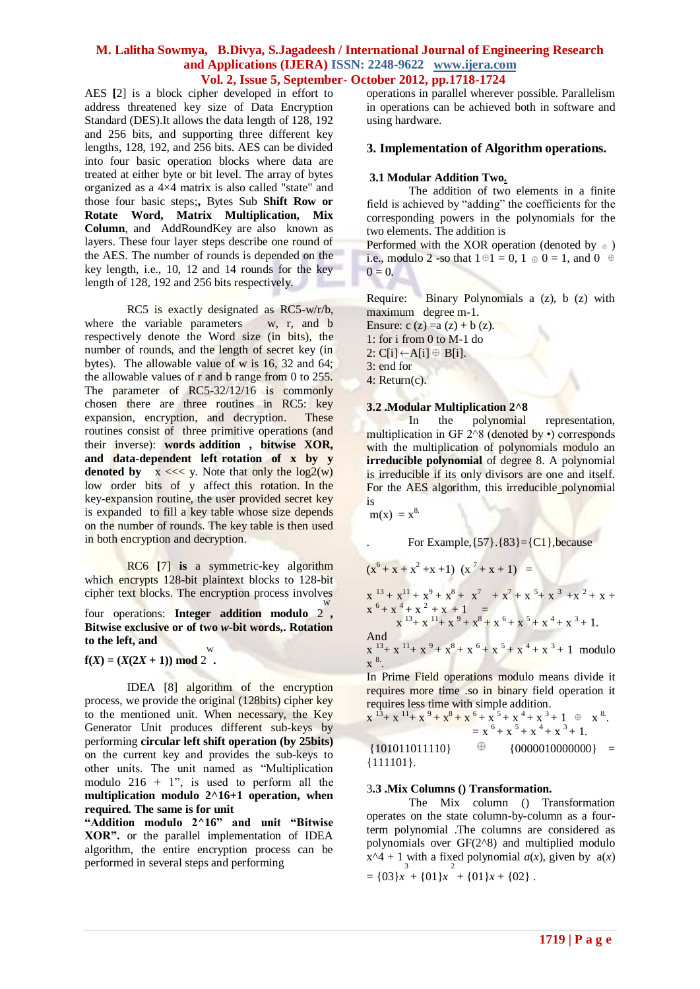AES **[**2] is a block cipher developed in effort to address threatened key size of Data Encryption Standard (DES).It allows the data length of 128, 192 and 256 bits, and supporting three different key lengths, 128, 192, and 256 bits. AES can be divided into four basic operation blocks where data are treated at either byte or bit level. The array of bytes organized as a 4×4 matrix is also called "state" and those four basic steps;**,** Bytes Sub **Shift Row or Rotate Word, Matrix Multiplication, Mix Column**, and AddRoundKey are also known as layers. These four layer steps describe one round of the AES. The number of rounds is depended on the key length, i.e., 10, 12 and 14 rounds for the key length of 128, 192 and 256 bits respectively.

RC5 is exactly designated as RC5-w/r/b, where the variable parameters w, r, and b respectively denote the Word size (in bits), the number of rounds, and the length of secret key (in bytes). The allowable value of w is 16, 32 and 64; the allowable values of r and b range from 0 to 255. The parameter of RC5-32/12/16 is commonly chosen there are three routines in RC5: key expansion, encryption, and decryption. These routines consist of three primitive operations (and their inverse): **words addition , bitwise XOR, and data-dependent left rotation of x by y denoted by**  $x \ll \sqrt{x}$ . Note that only the  $\log(2(w))$ low order bits of y affect this rotation. In the key-expansion routine, the user provided secret key is expanded to fill a key table whose size depends on the number of rounds. The key table is then used in both encryption and decryption.

RC6 **[**7] **is** a symmetric-key algorithm which encrypts 128-bit plaintext blocks to 128-bit cipher text blocks. The encryption process involves

four operations: **Integer addition modulo** 2, **Bitwise exclusive or of two** *w***-bit words,. Rotation to the left, and** 

 $f(X) = (X(2X + 1)) \mod 2$ . W

IDEA [8] algorithm of the encryption process, we provide the original (128bits) cipher key to the mentioned unit. When necessary, the Key Generator Unit produces different sub-keys by performing **circular left shift operation (by 25bits)** on the current key and provides the sub-keys to other units. The unit named as "Multiplication modulo  $216 + 1$ ", is used to perform all the **multiplication modulo 2^16+1 operation, when required. The same is for unit** 

**"Addition modulo 2^16" and unit "Bitwise XOR".** or the parallel implementation of IDEA algorithm, the entire encryption process can be performed in several steps and performing

operations in parallel wherever possible. Parallelism in operations can be achieved both in software and using hardware.

### **3. Implementation of Algorithm operations.**

#### **3.1 Modular Addition Two.**

The addition of two elements in a finite field is achieved by "adding" the coefficients for the corresponding powers in the polynomials for the two elements. The addition is

Performed with the XOR operation (denoted by  $\oplus$  ) i.e., modulo 2 -so that  $1 \oplus 1 = 0$ ,  $1 \oplus 0 = 1$ , and  $0 \oplus$  $0 = 0.$ 

Require: Binary Polynomials a (z), b (z) with maximum degree m-1. Ensure:  $c(z) = a(z) + b(z)$ . 1: for i from 0 to M-1 do 2:  $C[i] \leftarrow A[i] \oplus B[i]$ . 3: end for 4: Return(c).

#### **3.2 .Modular Multiplication 2^8**

In the polynomial representation, multiplication in GF  $2^{\wedge}8$  (denoted by •) corresponds with the multiplication of polynomials modulo an **irreducible polynomial** of degree 8. A polynomial is irreducible if its only divisors are one and itself. For the AES algorithm, this irreducible polynomial is

 $m(x) = x^8$ .

For Example,  $\{57\}$ .  $\{83\} = \{C1\}$ , because

$$
(x^{6} + x + x^{2} + x + 1) (x^{7} + x + 1) =
$$
\n
$$
x^{13} + x^{11} + x^{9} + x^{8} + x^{7} + x^{7} + x^{5} + x^{3} + x^{2} + x +
$$
\n
$$
x^{6} + x^{4} + x^{2} + x + 1 =
$$
\n
$$
x^{13} + x^{11} + x^{9} + x^{8} + x^{6} + x^{5} + x^{4} + x^{3} + 1.
$$
\nAnd\n
$$
x^{13} + x^{11} + x^{9} + x^{8} + x^{6} + x^{5} + x^{4} + x^{3} + 1
$$
 modulo\n
$$
x^{8}.
$$
\nIn Prime Field operations modulo means divide it

In Prime Field operations modulo means divide it requires more time .so in binary field operation it requires less time with simple addition.

$$
x13+x11+x9+x8+x6+x5+x4+x3+1+ + x8 = x6+x5+x4+x3+1.
$$
  
\n{101011011110}  $\oplus$  {0000010000000} =  
\n{111101}.

#### 3**.3 .Mix Columns () Transformation.**

The Mix column () Transformation operates on the state column-by-column as a fourterm polynomial .The columns are considered as polynomials over GF(2^8) and multiplied modulo  $x^4 + 1$  with a fixed polynomial  $a(x)$ , given by  $a(x)$  $=\{03\}x + \{01\}x + \{01\}x + \{02\}$ .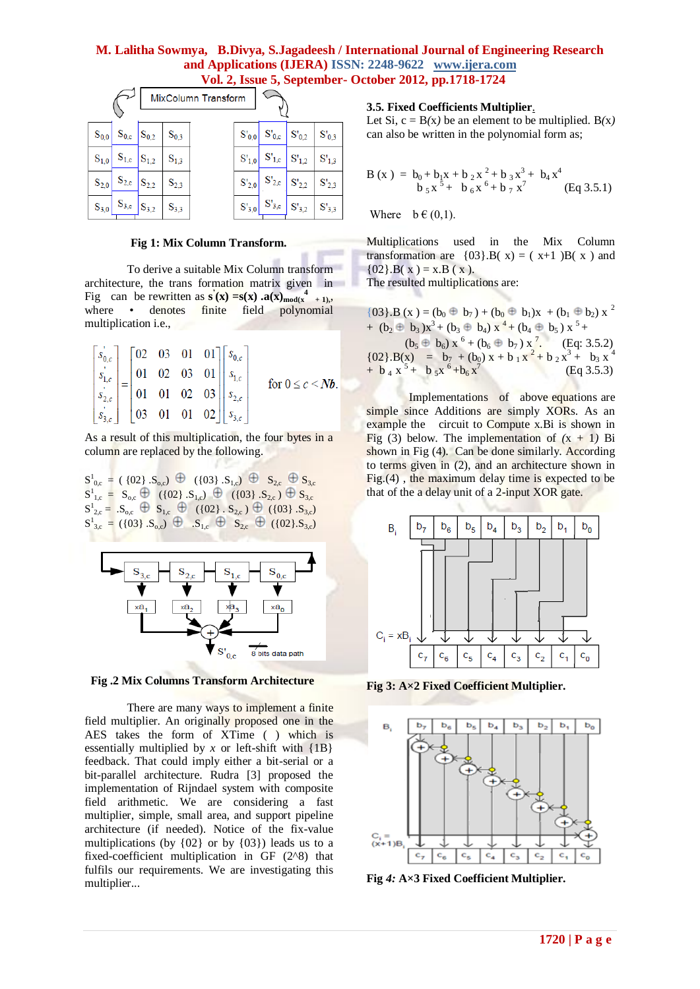|           | $\frac{1}{2}$ $\frac{1}{2}$ $\frac{1}{2}$ $\frac{1}{2}$ $\frac{1}{2}$ $\frac{1}{2}$ $\frac{1}{2}$ $\frac{1}{2}$ $\frac{1}{2}$ $\frac{1}{2}$ $\frac{1}{2}$ $\frac{1}{2}$ $\frac{1}{2}$ $\frac{1}{2}$ $\frac{1}{2}$ $\frac{1}{2}$ $\frac{1}{2}$ $\frac{1}{2}$ $\frac{1}{2}$ $\frac{1}{2}$ $\frac{1}{2}$ $\frac{1}{2}$ |  |           |                     |            |                                    |                                 |            |
|-----------|---------------------------------------------------------------------------------------------------------------------------------------------------------------------------------------------------------------------------------------------------------------------------------------------------------------------|--|-----------|---------------------|------------|------------------------------------|---------------------------------|------------|
|           |                                                                                                                                                                                                                                                                                                                     |  |           | MixColumn Transform |            |                                    |                                 |            |
| $S_{0,0}$ | $S_{0,c}$ $S_{0,2}$                                                                                                                                                                                                                                                                                                 |  | $S_{0,3}$ |                     | $S'_{0,0}$ | $\mid S'_{0,c} \mid S'_{0,2} \mid$ |                                 | $S'_{0,3}$ |
| $S_{1,0}$ | $S_{1,c}$ $S_{1,2}$                                                                                                                                                                                                                                                                                                 |  | $S_{1,3}$ |                     | $S'_{1,0}$ | $S'_{1,c}$ $S'_{1,2}$              |                                 | $S'_{1,3}$ |
| $S_{2,0}$ | $S_{2,c}$ $S_{2,2}$                                                                                                                                                                                                                                                                                                 |  | $S_{2,3}$ |                     |            | $S'_{2,0}$ $S'_{2,c}$ $S'_{2,2}$   |                                 | $S'_{2,3}$ |
| $S_{3,0}$ | $S_{3,c}$ $S_{3,2}$                                                                                                                                                                                                                                                                                                 |  | $S_{3,3}$ |                     | $S'_{3,0}$ |                                    | $ S'_{3,c}  S'_{3,2}  S'_{3,3}$ |            |

#### **Fig 1: Mix Column Transform.**

To derive a suitable Mix Column transform architecture, the trans formation matrix given in Fig can be rewritten as  $\mathbf{s}'(\mathbf{x}) = \mathbf{s}(\mathbf{x}) \cdot \mathbf{a}(\mathbf{x}) \cdot \left| \mathbf{a}(\mathbf{x}) \right| + 1,$ where • denotes finite field polynomial multiplication i.e.,

$$
\begin{bmatrix} s_{0,c} \\ s_{1,c} \\ s_{2,c} \\ s_{3,c} \\ \vdots \\ s_{3,c} \end{bmatrix} = \begin{bmatrix} 02 & 03 & 01 & 01 \\ 01 & 02 & 03 & 01 \\ 01 & 01 & 02 & 03 \\ 03 & 01 & 01 & 02 \end{bmatrix} \begin{bmatrix} s_{0,c} \\ s_{1,c} \\ s_{2,c} \\ s_{3,c} \\ s_{3,c} \end{bmatrix}
$$
 for  $0 \le c < Nb$ .

As a result of this multiplication, the four bytes in a column are replaced by the following.

 $S_{0,c}^1 = (\{02\}, S_{0,c}) \oplus (\{03\}, S_{1,c}) \oplus S_{2,c} \oplus S_{3,c}$  $S_{1,c}^1 = S_{0,c} \bigoplus (\{02\} S_{1,c}) \bigoplus (\{03\} S_{2,c}) \bigoplus S_{3,c}$  $S_{2,c}^1 = S_{0,c} \oplus S_{1,c} \oplus ((02) . S_{2,c}) \oplus ((03) . S_{3,c})$  $S_{3,c} = (\{03\} \cdot S_{0,c}) \oplus S_{1,c} \oplus S_{2,c} \oplus (\{02\} \cdot S_{3,c})$ 



**Fig .2 Mix Columns Transform Architecture**

There are many ways to implement a finite field multiplier. An originally proposed one in the AES takes the form of XTime ( ) which is essentially multiplied by  $x$  or left-shift with  $\{1B\}$ feedback. That could imply either a bit-serial or a bit-parallel architecture. Rudra [3] proposed the implementation of Rijndael system with composite field arithmetic. We are considering a fast multiplier, simple, small area, and support pipeline architecture (if needed). Notice of the fix-value multiplications (by  $\{02\}$  or by  $\{03\}$ ) leads us to a fixed-coefficient multiplication in GF (2^8) that fulfils our requirements. We are investigating this multiplier...

#### **3.5. Fixed Coefficients Multiplier**.

Let Si,  $c = B(x)$  be an element to be multiplied.  $B(x)$ can also be written in the polynomial form as;

$$
B(x) = b_0 + b_1x + b_2x^2 + b_3x^3 + b_4x^4
$$
  

$$
b_5x^5 + b_6x^6 + b_7x^7
$$
 (Eq 3.5.1)

Where  $b \in (0,1)$ .

Multiplications used in the Mix Column transformation are  $\{03\}$ . B(x) = (x+1 )B(x) and  ${02}.B(x) = x.B(x)$ . The resulted multiplications are:

 ${03}.B(x) = (b_0 \oplus b_7) + (b_0 \oplus b_1)x + (b_1 \oplus b_2)x^2$ +  $(b_2 \oplus b_3)x^3 + (b_3 \oplus b_4)x^4 + (b_4 \oplus b_5)x^5 +$  $(b_5 \oplus b_6) x^6 + (b_6 \oplus b_7) x^7$ . (Eq: 3.5.2)  ${02}.B(x) = b_7 + (b_0) x + b_1 x^2 + b_2 x^3 + b_3 x^4$  $+$  b <sub>4</sub> x<sup>5</sup> + b <sub>5</sub>x<sup>6</sup> + b<sub>6</sub> x<sup>7</sup> (Eq 3.5.3)

Implementations of above equations are simple since Additions are simply XORs. As an example the circuit to Compute x.Bi is shown in Fig (3) below. The implementation of  $(x + 1)$  Bi shown in Fig (4). Can be done similarly. According to terms given in (2), and an architecture shown in Fig.(4) , the maximum delay time is expected to be that of the a delay unit of a 2-input XOR gate.



**Fig 3: A×2 Fixed Coefficient Multiplier.**



**Fig** *4:* **A×3 Fixed Coefficient Multiplier.**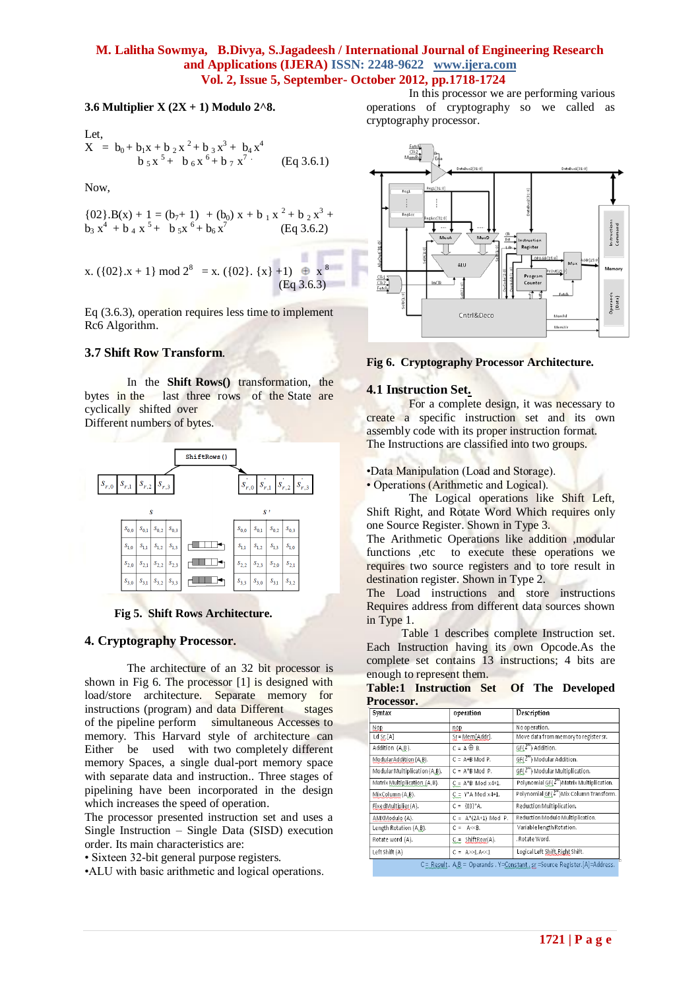a per

#### **3.6 Multiplier X (2X + 1) Modulo 2^8.**

Let,  
\n
$$
X = b_0 + b_1 x + b_2 x^2 + b_3 x^3 + b_4 x^4
$$
\n
$$
b_5 x^5 + b_6 x^6 + b_7 x^7
$$
\n(Eq 3.6.1)

Now,

$$
{02}.B(x) + 1 = (b7+1) + (b0) x + b1 x2 + b2 x3 +b3 x4 + b4 x5 + b5 x6 + b6 x7 (Eq 3.6.2)
$$

x. (
$$
\{02\} \cdot x + 1\}
$$
 mod  $2^8 = x$ . ( $\{02\} \cdot \{x\} + 1$ )  $\oplus x^8$   
(Eq 3.6.3)

Eq (3.6.3), operation requires less time to implement Rc6 Algorithm.

# **3.7 Shift Row Transform**.

In the **Shift Rows()** transformation, the bytes in the last three rows of the State are cyclically shifted over Different numbers of bytes.

ShiftRows()  $s_{r,1}$  $s_{r,2}$  $s_{r,1}$   $s_{r,2}$   $s_{r,3}$ k  $S_{0,3}$  $\boldsymbol{s}_{0,3}$  $s_{0,2}$  $S_{0,0}$  $\boldsymbol{S}_{0,1}$  $\boldsymbol{S_{0,2}}$  $S_{0,0}$  $S_{0,1}$  $s_{1,0}$  $\mathcal{S}_{1,1}$  $\mathfrak{s}_{\scriptscriptstyle 1,2}$  $S_{1,3}$ ┌███▊▜▀  $\bar{s}_{1,1}$  $s_{1,2}$  $s_{1,3}$  $\bar{s}_{1,0}$ الليال  $s_{2,0}$  $\bar{s}_{2,1}$  $s_{2,2}$  $S_{2,3}$  $s_{2,2}$  $s_{2,3}$  $s_{2,0}$  $s<sub>2</sub>$  $\bar{s}_{3,2}$  $s_{3,0}$  $s_{3,2}$  $s_{3,1}$  $S_{3,0}$  $S_{3,1}$  $S_3$  $s_{33}$ 

# **Fig 5. Shift Rows Architecture.**

### **4. Cryptography Processor.**

The architecture of an 32 bit processor is shown in Fig 6. The processor [1] is designed with load/store architecture. Separate memory for instructions (program) and data Different stages of the pipeline perform simultaneous Accesses to memory. This Harvard style of architecture can Either be used with two completely different memory Spaces, a single dual-port memory space with separate data and instruction.. Three stages of pipelining have been incorporated in the design which increases the speed of operation.

The processor presented instruction set and uses a Single Instruction – Single Data (SISD) execution order. Its main characteristics are:

• Sixteen 32-bit general purpose registers.

•ALU with basic arithmetic and logical operations.

In this processor we are performing various operations of cryptography so we called as cryptography processor.



#### **Fig 6. Cryptography Processor Architecture.**

### **4.1 Instruction Set.**

For a complete design, it was necessary to create a specific instruction set and its own assembly code with its proper instruction format. The Instructions are classified into two groups.

•Data Manipulation (Load and Storage).

• Operations (Arithmetic and Logical).

The Logical operations like Shift Left, Shift Right, and Rotate Word Which requires only one Source Register. Shown in Type 3.

The Arithmetic Operations like addition ,modular functions ,etc to execute these operations we requires two source registers and to tore result in destination register. Shown in Type 2.

The Load instructions and store instructions Requires address from different data sources shown in Type 1.

 Table 1 describes complete Instruction set. Each Instruction having its own Opcode.As the complete set contains 13 instructions; 4 bits are enough to represent them.

**Table:1 Instruction Set Of The Developed Processor.**

| Syntax                        | operation                     | Description                              |
|-------------------------------|-------------------------------|------------------------------------------|
| <b>Nop</b>                    | nop                           | No operation.                            |
| $Ld$ $SL$ $[A]$               | Sr = Mem[Addr].               | Move data from memory to register sr.    |
| Addition (A,B).               | $C = A \oplus B$ .            | GF(2") Addition.                         |
| ModularAddition (A,B).        | $C = A+B$ Mod P.              | GF(2"") Modular Addition.                |
| Modular Multiplication (A,B). | $C = A^*B \text{ Mod } P.$    | GF(2"") Modular Multiplication.          |
| Matrix Multiplication (A,B).  | $C = A^*B$ Mod x4+1.          | Polynomial GF(2"")Matrix Multiplication. |
| MixColumn (A,B).              | $C = Y^*A \text{ Mod } x4+1.$ | Polynomial GF(2"")Mix Column Transform.  |
| FixedMultiplier (A).          | $C = \{03\}^* A$ .            | Reduction Multiplication.                |
| AMXModulo (A).                | $C = A^*(2A+1)$ Mod P.        | Reduction Modulo Multiplication.         |
| Length Rotation (A,B).        | $C = AC8$                     | Variable length Rotation.                |
| Rotate word (A).              | $C = Shifthew(A)$ .           | . Rotate Word.                           |
| Left Shift (A)                | $C = A>>1.A<<1$               | Logical Left Shift, Right Shift.         |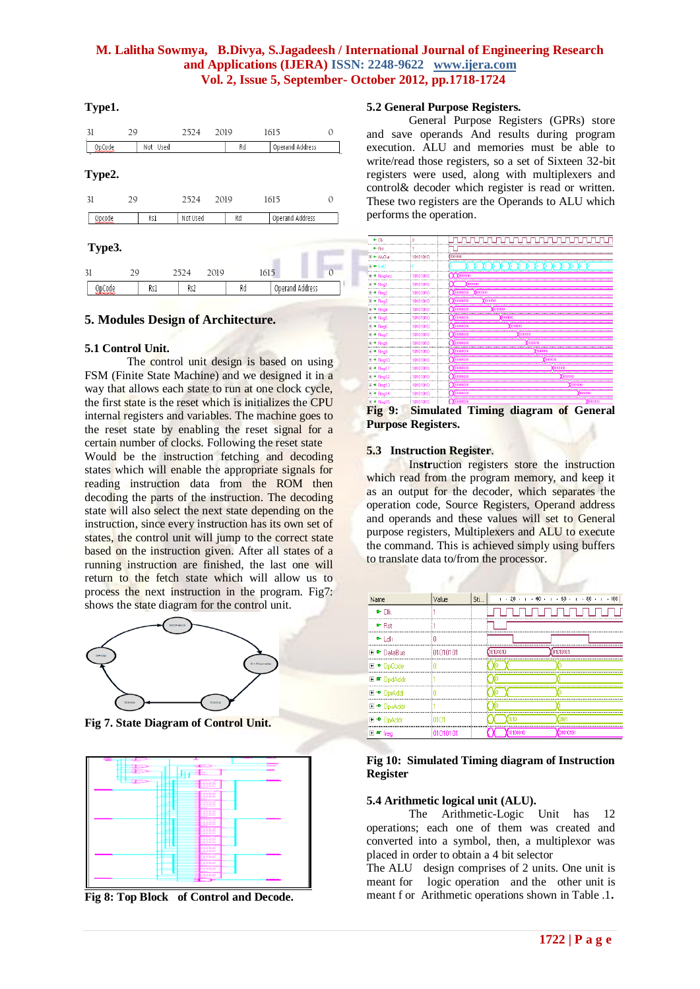### **Type1.**

| 31     | 29 |          | 2524     | 2019 |    | 1615            | 0        |
|--------|----|----------|----------|------|----|-----------------|----------|
| OpCode |    | Not Used |          |      | Rd | Operand Address |          |
| Type2. |    |          |          |      |    |                 |          |
| 31     | 29 |          | 2524     | 2019 |    | 1615            | 0        |
| Opcode |    | Rs1      | Not Used |      | Rd | Operand Address |          |
| Type3. |    |          |          |      |    |                 |          |
| 31     | 29 |          | 2524     | 2019 |    | 1615            | $\Omega$ |
| OpCode |    | Rs1      | Rs2      |      | Rd | Operand Address |          |

### **5. Modules Design of Architecture.**

#### **5.1 Control Unit.**

The control unit design is based on using FSM (Finite State Machine) and we designed it in a way that allows each state to run at one clock cycle, the first state is the reset which is initializes the CPU internal registers and variables. The machine goes to the reset state by enabling the reset signal for a certain number of clocks. Following the reset state Would be the instruction fetching and decoding states which will enable the appropriate signals for reading instruction data from the ROM then decoding the parts of the instruction. The decoding state will also select the next state depending on the instruction, since every instruction has its own set of states, the control unit will jump to the correct state based on the instruction given. After all states of a running instruction are finished, the last one will return to the fetch state which will allow us to process the next instruction in the program. Fig7: shows the state diagram for the control unit.



**Fig 7. State Diagram of Control Unit.**



**Fig 8: Top Block of Control and Decode.**

#### **5.2 General Purpose Registers.**

General Purpose Registers (GPRs) store and save operands And results during program execution. ALU and memories must be able to write/read those registers, so a set of Sixteen 32-bit registers were used, along with multiplexers and control& decoder which register is read or written. These two registers are the Operands to ALU which performs the operation.



**Fig 9: Simulated Timing diagram of General Purpose Registers.**

#### **5.3 Instruction Register**.

In**str**uction registers store the instruction which read from the program memory, and keep it as an output for the decoder, which separates the operation code, Source Registers, Operand address and operands and these values will set to General purpose registers, Multiplexers and ALU to execute the command. This is achieved simply using buffers to translate data to/from the processor.

| Name             | /alue    | 5ti | $1$ $-20$ $-1$ $-40$ $-1$ $-60$ $-1$ $-80$ $-1$ $-100$ |
|------------------|----------|-----|--------------------------------------------------------|
| e- Cik           |          |     |                                                        |
| D-Rst            |          |     |                                                        |
| le-Fidtr         |          |     |                                                        |
| <b>►</b> DataBus | 01010101 |     | ntototo:                                               |
| ⊞ → OpCodel      |          |     |                                                        |
|                  |          |     |                                                        |
| ⊕ ∏nr∆ddr        |          |     |                                                        |
| ™ LinsAddi       |          |     |                                                        |
| ™ HnAddi         |          |     |                                                        |
|                  |          |     |                                                        |

#### **Fig 10: Simulated Timing diagram of Instruction Register**

#### **5.4 Arithmetic logical unit (ALU).**

The Arithmetic-Logic Unit has 12 operations; each one of them was created and converted into a symbol, then, a multiplexor was placed in order to obtain a 4 bit selector

The ALU design comprises of 2 units. One unit is meant for logic operation and the other unit is meant f or Arithmetic operations shown in Table .1**.**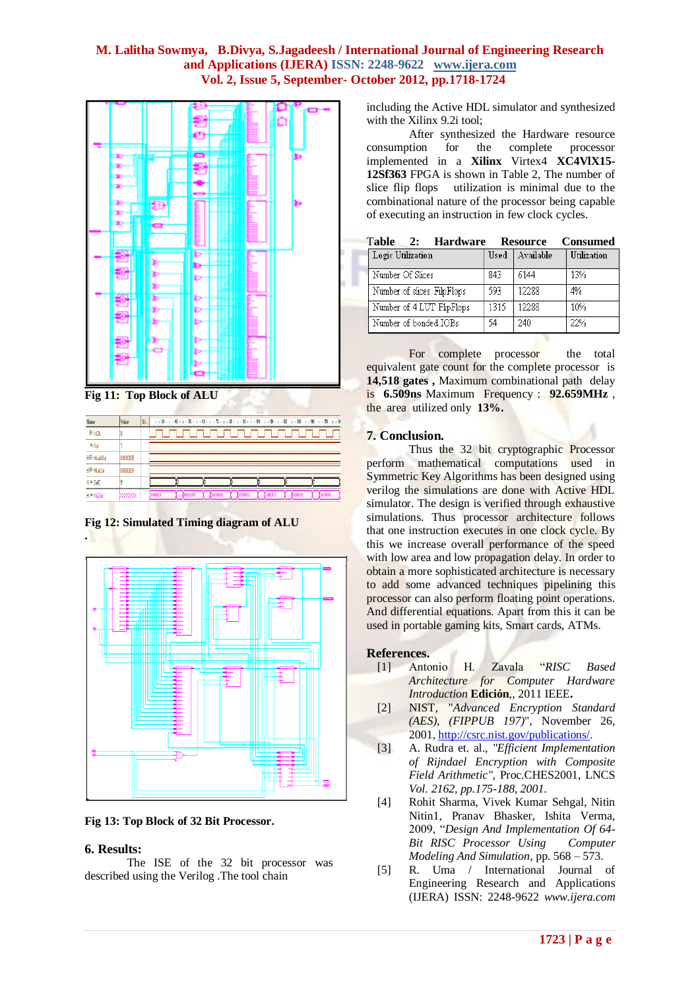

**Fig 11: Top Block of ALU**



**Fig 12: Simulated Timing diagram of ALU**



**Fig 13: Top Block of 32 Bit Processor.**

#### **6. Results:**

The ISE of the 32 bit processor was described using the Verilog .The tool chain

including the Active HDL simulator and synthesized with the Xilinx 9.2i tool;

After synthesized the Hardware resource consumption for the complete processor implemented in a **Xilinx** Virtex4 **XC4VlX15- 12Sf363** FPGA is shown in Table 2, The number of slice flip flops utilization is minimal due to the combinational nature of the processor being capable of executing an instruction in few clock cycles.

| <b>Hardware</b><br>Table<br>2: |      | <b>Resource</b> | <b>Consumed</b>    |
|--------------------------------|------|-----------------|--------------------|
| Logic Utilization              | Used | Available       | <b>Utilization</b> |
| Number Of Slices               | 843  | 6144            | 13%                |
| Number of slices FilpFlops     | 593  | 12288           | 4%                 |
| Number of 4 LUT FlipFlops      | 1315 | 12288           | 10%                |
| Number of bonded IOBs          | 54   | 240             | 22%                |

For complete processor the total equivalent gate count for the complete processor is **14,518 gates ,** Maximum combinational path delay is **6.509ns** Maximum Frequency : **92.659MHz** , the area utilized only **13%.**

### **7. Conclusion.**

Thus the 32 bit cryptographic Processor perform mathematical computations used in Symmetric Key Algorithms has been designed using verilog the simulations are done with Active HDL simulator. The design is verified through exhaustive simulations. Thus processor architecture follows that one instruction executes in one clock cycle. By this we increase overall performance of the speed with low area and low propagation delay. In order to obtain a more sophisticated architecture is necessary to add some advanced techniques pipelining this processor can also perform floating point operations. And differential equations. Apart from this it can be used in portable gaming kits, Smart cards, ATMs.

#### **References.**

- [1] Antonio H. Zavala "*RISC Based Architecture for Computer Hardware Introduction* **Edición**,, 2011 IEEE**.**
- [2] NIST, "*Advanced Encryption Standard (AES), (FIPPUB 197)*", November 26, 2001, [http://csrc.nist.gov/publications/.](http://csrc.nist.gov/publications/)
- [3] A. Rudra et. al., *"Efficient Implementation of Rijndael Encryption with Composite Field Arithmetic",* Proc.CHES2001, LNCS *Vol. 2162, pp.175-188, 2001*.
- [4] Rohit Sharma, Vivek Kumar Sehgal, Nitin Nitin1, Pranav Bhasker, Ishita Verma, 2009, "*Design And Implementation Of 64- Bit RISC Processor Using Computer Modeling And Simulation*, pp. 568 – 573.
- [5] R. Uma / International Journal of Engineering Research and Applications (IJERA) ISSN: 2248-9622 *www.ijera.com*